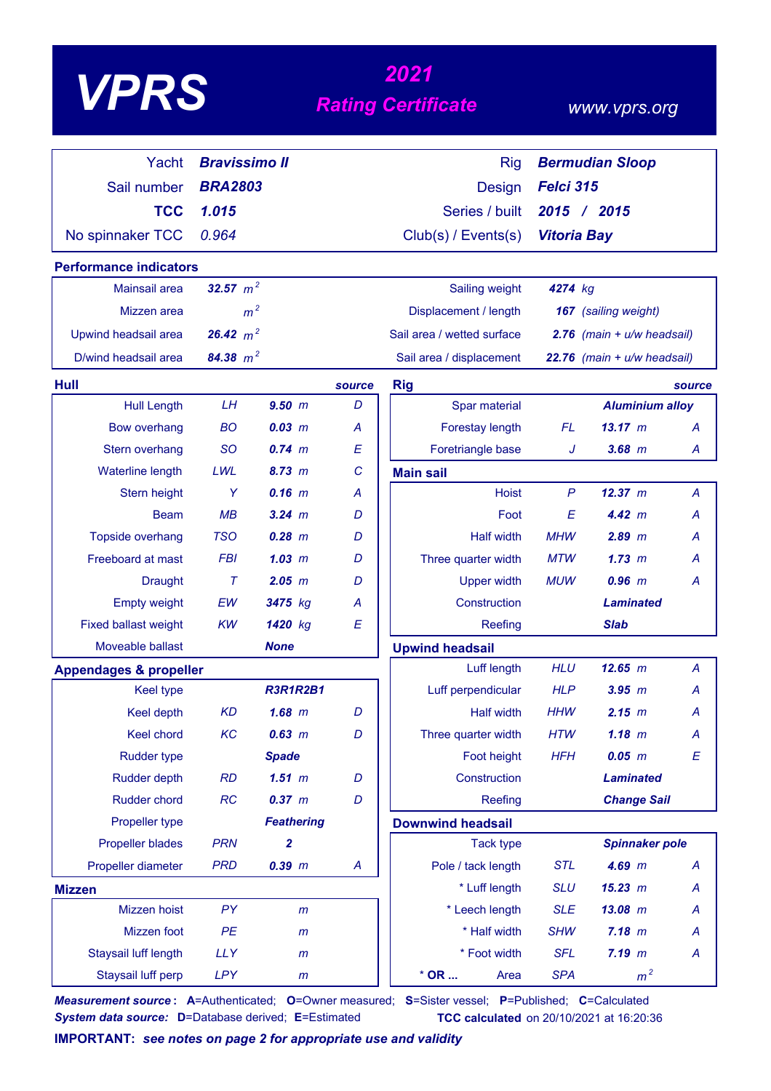# *<sup>2021</sup> VPRS Rating Certificate*

### *www.vprs.org*

| Yacht                             | <b>Bravissimo II</b> |                   |        | <b>Rig</b>                 | <b>Bermudian Sloop</b>         |                             |                |
|-----------------------------------|----------------------|-------------------|--------|----------------------------|--------------------------------|-----------------------------|----------------|
| Sail number                       | <b>BRA2803</b>       |                   |        | <b>Design</b>              | Felci 315                      |                             |                |
| <b>TCC</b>                        | 1.015                |                   |        | Series / built             |                                | 2015 / 2015                 |                |
| No spinnaker TCC                  | 0.964                |                   |        | Club(s) / Events(s)        | <b>Vitoria Bay</b>             |                             |                |
| <b>Performance indicators</b>     |                      |                   |        |                            |                                |                             |                |
| Mainsail area                     | 32.57 $m^2$          |                   |        | Sailing weight             | 4274 kg                        |                             |                |
| Mizzen area                       | m <sup>2</sup>       |                   |        | Displacement / length      |                                | 167 (sailing weight)        |                |
| Upwind headsail area              | 26.42 $m^2$          |                   |        | Sail area / wetted surface | $2.76$ (main + $u/w$ headsail) |                             |                |
| D/wind headsail area              | 84.38 $m^2$          |                   |        | Sail area / displacement   |                                | 22.76 (main + u/w headsail) |                |
| Hull                              |                      |                   | source | <b>Rig</b>                 |                                |                             | source         |
| <b>Hull Length</b>                | LH                   | 9.50~m            | D      | Spar material              |                                | <b>Aluminium alloy</b>      |                |
| <b>Bow overhang</b>               | BO                   | $0.03$ m          | A      | Forestay length            | FL                             | $13.17 \; m$                | A              |
| Stern overhang                    | <b>SO</b>            | 0.74~m            | E      | Foretriangle base          | J                              | $3.68$ $m$                  | Α              |
| <b>Waterline length</b>           | LWL                  | 8.73 m            | C      | <b>Main sail</b>           |                                |                             |                |
| Stern height                      | Y                    | $0.16$ m          | A      | <b>Hoist</b>               | $\mathsf{P}$                   | 12.37 m                     | A              |
| <b>Beam</b>                       | MB                   | $3.24 \, m$       | D      | Foot                       | E                              | 4.42 m                      | Α              |
| <b>Topside overhang</b>           | <b>TSO</b>           | $0.28$ m          | D      | <b>Half width</b>          | <b>MHW</b>                     | $2.89$ m                    | А              |
| Freeboard at mast                 | <b>FBI</b>           | 1.03~m            | D      | Three quarter width        | MTW                            | 1.73~m                      | А              |
| <b>Draught</b>                    | $\tau$               | $2.05$ $m$        | D      | <b>Upper width</b>         | <b>MUW</b>                     | $0.96$ $m$                  | Α              |
| <b>Empty weight</b>               | EW                   | 3475 kg           | A      | Construction               |                                | <b>Laminated</b>            |                |
| <b>Fixed ballast weight</b>       | <b>KW</b>            | 1420 kg           | E      | Reefing                    |                                | <b>Slab</b>                 |                |
| Moveable ballast                  |                      | <b>None</b>       |        | <b>Upwind headsail</b>     |                                |                             |                |
| <b>Appendages &amp; propeller</b> |                      |                   |        | Luff length                | <b>HLU</b>                     | 12.65 m                     | $\overline{A}$ |
| <b>Keel type</b>                  |                      | <b>R3R1R2B1</b>   |        | Luff perpendicular         | <b>HLP</b>                     | $3.95$ $m$                  | A              |
| Keel depth                        | <b>KD</b>            | $1.68$ $m$        | D      | <b>Half width</b>          | <b>HHW</b>                     | 2.15 m                      | Α              |
| Keel chord                        | KC                   | $0.63$ m          | D      | Three quarter width        | <b>HTW</b>                     | $1.18$ m                    | A              |
| <b>Rudder type</b>                |                      | <b>Spade</b>      |        | Foot height                | <b>HFH</b>                     | $0.05$ $m$                  | Ε              |
| <b>Rudder depth</b>               | <b>RD</b>            | $1.51$ m          | D      | Construction               |                                | <b>Laminated</b>            |                |
| Rudder chord                      | RC                   | 0.37 m            | D      | Reefing                    |                                | <b>Change Sail</b>          |                |
| Propeller type                    |                      | <b>Feathering</b> |        | <b>Downwind headsail</b>   |                                |                             |                |
| <b>Propeller blades</b>           | <b>PRN</b>           | 2                 |        | <b>Tack type</b>           |                                | <b>Spinnaker pole</b>       |                |
| Propeller diameter                | <b>PRD</b>           | $0.39$ $m$        | A      | Pole / tack length         | <b>STL</b>                     | $4.69$ m                    | A              |
| <b>Mizzen</b>                     |                      |                   |        | * Luff length              | <b>SLU</b>                     | 15.23 m                     | Α              |
| Mizzen hoist                      | <b>PY</b>            | m                 |        | * Leech length             | <b>SLE</b>                     | $13.08$ m                   | A              |
| Mizzen foot                       | PE                   | $\mathsf{m}$      |        | * Half width               | <b>SHW</b>                     | 7.18 m                      | A              |
| Staysail luff length              | <b>LLY</b>           | $\mathsf{m}$      |        | * Foot width               | <b>SFL</b>                     | $7.19$ $m$                  | A              |
| Staysail luff perp                | <b>LPY</b>           | m                 |        | $*$ OR $\ldots$<br>Area    | <b>SPA</b>                     | m <sup>2</sup>              |                |

*Measurement source* **: A**=Authenticated; **O**=Owner measured; **S**=Sister vessel; **P**=Published; **C**=Calculated *System data source:* **D**=Database derived; **E**=Estimated **TCC calculated** on 20/10/2021 at 16:20:36

**IMPORTANT:** *see notes on page 2 for appropriate use and validity*